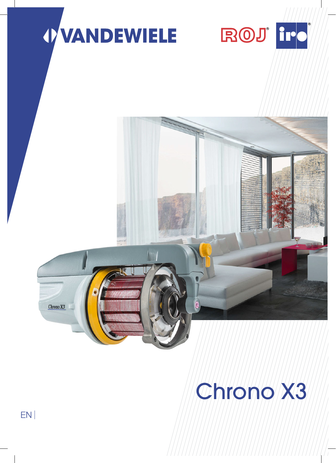

# Chrono X3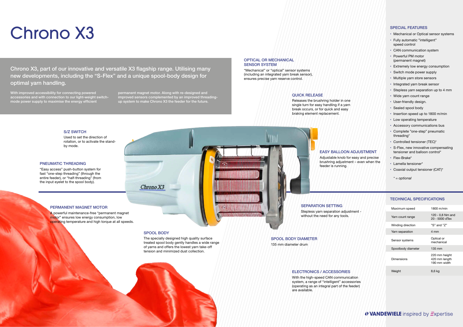# Chrono X3

| - ht | Maximum speed      | 1800 m/min                                     |
|------|--------------------|------------------------------------------------|
|      | Yarn count range   | 120 - 0.8 Nm and<br>20 - 5000 dTex             |
|      | Winding direction  | "S" and "Z"                                    |
|      | Yarn separation    | 4 mm                                           |
|      | Sensor systems     | Optical or<br>mechanical                       |
|      | Spoolbody diameter | 135 mm                                         |
|      | <b>Dimensions</b>  | 220 mm height<br>420 mm length<br>190 mm width |
|      | Weight             | $8,6$ kg                                       |
|      |                    |                                                |

### *OVANDEWIELE* inspired by *Expertise*

- **•**  Mechanical or Optical sensor systems
- **•**  Fully automatic "intelligent" speed control
- **•**  CAN communication system
- **•**  Powerful PM motor (permanent magnet)
- **•**  Extremely low energy consumption
- **•**  Switch mode power supply
- **•**  Multiple yarn store sensors
- **•**  Integrated yarn break sensor
- **•**  Stepless yarn separation up to 4 mm
- **•**  Wide yarn count range
- **•**  User-friendly design.
- **•**  Sealed spool body
- **•**  Insertion speed up to 1800 m/min
- **•**  Low operating temperature
- **•**  Accessory communications bus
- **•**  Complete "one-step" pneumatic threading\*
- **•**  Controlled tensioner (TEC)\*
- **•**  S-Flex, new innovative compensating tensioner and balloon control\*
- **•**  Flex-Brake\*
- **•**  Lamella tensioner\*
- **•**  Coaxial output tensioner (CAT)\*

*\* = optional*

#### SPECIAL FEATURES

#### TECHNICAL SPECIFICATIONS

#### ELECTRONICS / ACCESSORIES

Stepless yarn separation adjustmen without the need for any tools.

With the high-speed CAN communication system, a range of "intelligent" accessories (operating as an integral part of the feeder) are available.

#### PERMANENT MAGNET MOTOR

With improved accessibility for connecting powered accessories and with connection to our light-weight switchmode power supply to maximise the energy efficient

> A powerful maintenance-free "permanent magnet motor" ensures low energy consumption, low operating temperature and high torque at all speeds.

#### PNEUMATIC THREADING

"Easy access" push-button system for fast "one-step threading" (through the entire feeder), or "half-threading" (from the input eyelet to the spool body).

Used to set the direction of rotation, or to activate the standby mode.

#### QUICK RELEASE

Releases the brushring holder in one single turn for easy handling if a yarn break occurs, or for quick and easy braking element replacement.

#### **S/Z SWITCH**

#### OPTICAL OR MECHANICAL SENSOR SYSTEM

"Mechanical" or "optical" sensor systems (including an integrated yarn break sensor), ensures precise yarn reserve control.

EASY BALLOON ADJUSTMENT

Adjustable knob for easy and precise brushring adjustment – even when the feeder is running.

SPOOL BODY DIAMETER 135 mm diameter drum

#### SEPARATION SETTING

#### SPOOL BODY

 $ChronoX3$ 

The specially designed high quality surface treated spool body gently handles a wide range of yarns and offers the lowest yarn take-off tension and minimized dust collection.

Chrono X3, part of our innovative and versatile X3 flagship range. Utilising many new developments, including the "S-Flex" and a unique spool-body design for optimal yarn handling.

> permanent magnet motor. Along with re-designed and improved sensors complemented by an improved threadingup system to make Chrono X3 the feeder for the future.